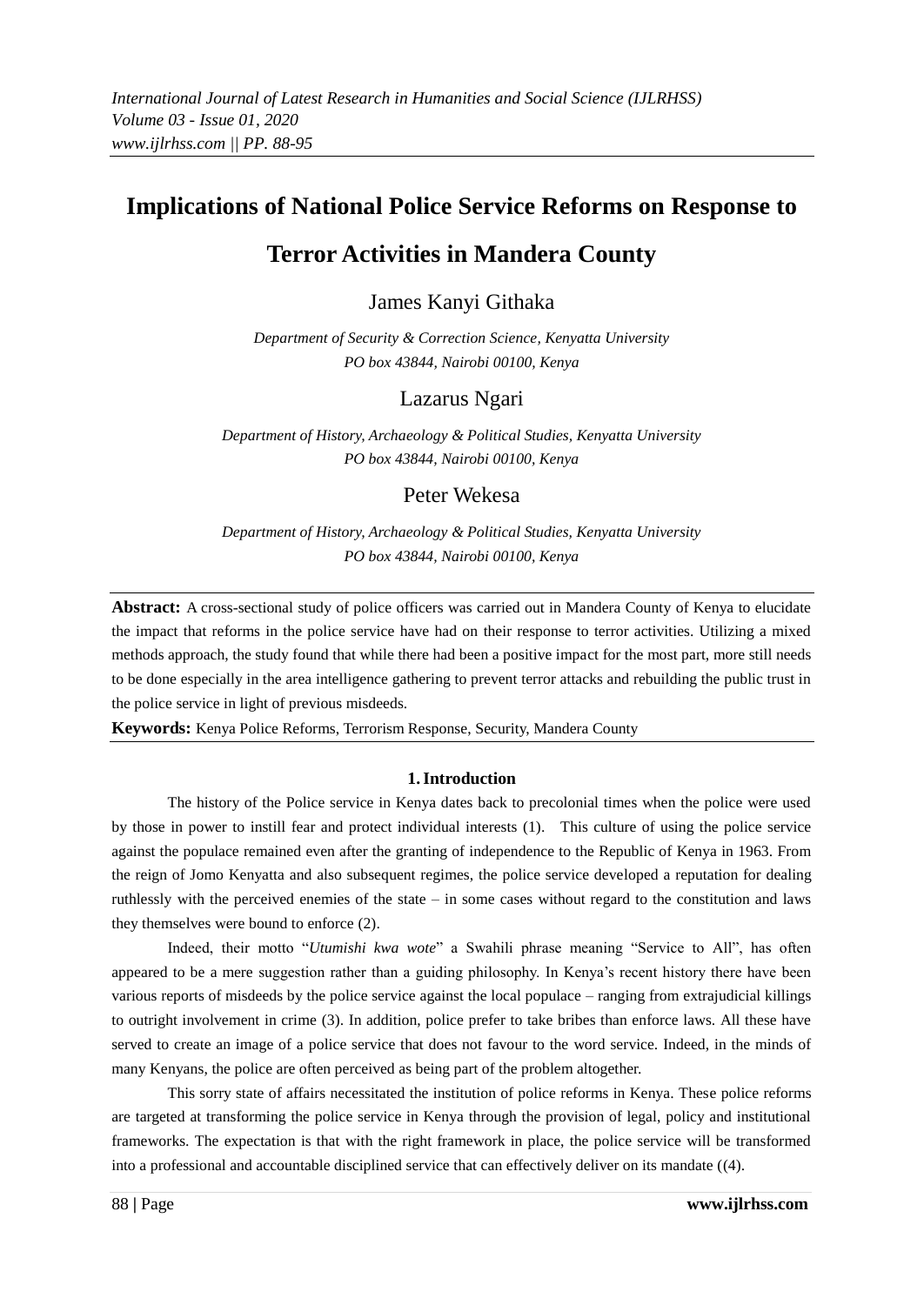# **Implications of National Police Service Reforms on Response to**

# **Terror Activities in Mandera County**

James Kanyi Githaka

*Department of Security & Correction Science, Kenyatta University PO box 43844, Nairobi 00100, Kenya*

# Lazarus Ngari

*Department of History, Archaeology & Political Studies, Kenyatta University PO box 43844, Nairobi 00100, Kenya*

# Peter Wekesa

*Department of History, Archaeology & Political Studies, Kenyatta University PO box 43844, Nairobi 00100, Kenya*

**Abstract:** A cross-sectional study of police officers was carried out in Mandera County of Kenya to elucidate the impact that reforms in the police service have had on their response to terror activities. Utilizing a mixed methods approach, the study found that while there had been a positive impact for the most part, more still needs to be done especially in the area intelligence gathering to prevent terror attacks and rebuilding the public trust in the police service in light of previous misdeeds.

**Keywords:** Kenya Police Reforms, Terrorism Response, Security, Mandera County

## **1.Introduction**

The history of the Police service in Kenya dates back to precolonial times when the police were used by those in power to instill fear and protect individual interests (1). This culture of using the police service against the populace remained even after the granting of independence to the Republic of Kenya in 1963. From the reign of Jomo Kenyatta and also subsequent regimes, the police service developed a reputation for dealing ruthlessly with the perceived enemies of the state – in some cases without regard to the constitution and laws they themselves were bound to enforce (2).

Indeed, their motto "*Utumishi kwa wote*" a Swahili phrase meaning "Service to All", has often appeared to be a mere suggestion rather than a guiding philosophy. In Kenya"s recent history there have been various reports of misdeeds by the police service against the local populace – ranging from extrajudicial killings to outright involvement in crime (3). In addition, police prefer to take bribes than enforce laws. All these have served to create an image of a police service that does not favour to the word service. Indeed, in the minds of many Kenyans, the police are often perceived as being part of the problem altogether.

This sorry state of affairs necessitated the institution of police reforms in Kenya. These police reforms are targeted at transforming the police service in Kenya through the provision of legal, policy and institutional frameworks. The expectation is that with the right framework in place, the police service will be transformed into a professional and accountable disciplined service that can effectively deliver on its mandate ((4).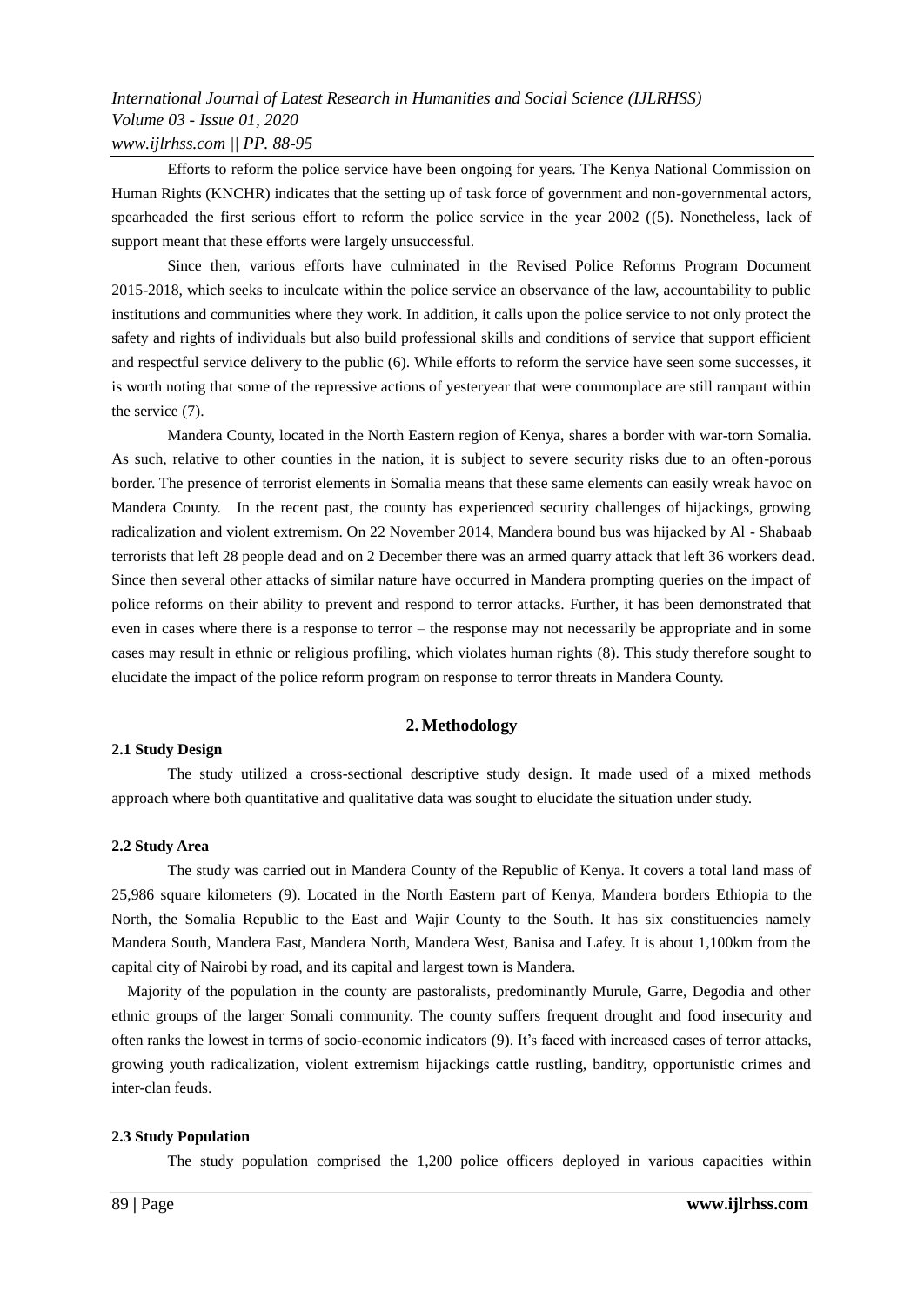Efforts to reform the police service have been ongoing for years. The Kenya National Commission on Human Rights (KNCHR) indicates that the setting up of task force of government and non-governmental actors, spearheaded the first serious effort to reform the police service in the year 2002 ((5). Nonetheless, lack of support meant that these efforts were largely unsuccessful.

Since then, various efforts have culminated in the Revised Police Reforms Program Document 2015-2018, which seeks to inculcate within the police service an observance of the law, accountability to public institutions and communities where they work. In addition, it calls upon the police service to not only protect the safety and rights of individuals but also build professional skills and conditions of service that support efficient and respectful service delivery to the public (6). While efforts to reform the service have seen some successes, it is worth noting that some of the repressive actions of yesteryear that were commonplace are still rampant within the service (7).

Mandera County, located in the North Eastern region of Kenya, shares a border with war-torn Somalia. As such, relative to other counties in the nation, it is subject to severe security risks due to an often-porous border. The presence of terrorist elements in Somalia means that these same elements can easily wreak havoc on Mandera County. In the recent past, the county has experienced security challenges of hijackings, growing radicalization and violent extremism. On 22 November 2014, Mandera bound bus was hijacked by Al - Shabaab terrorists that left 28 people dead and on 2 December there was an armed quarry attack that left 36 workers dead. Since then several other attacks of similar nature have occurred in Mandera prompting queries on the impact of police reforms on their ability to prevent and respond to terror attacks. Further, it has been demonstrated that even in cases where there is a response to terror – the response may not necessarily be appropriate and in some cases may result in ethnic or religious profiling, which violates human rights (8). This study therefore sought to elucidate the impact of the police reform program on response to terror threats in Mandera County.

### **2. Methodology**

### **2.1 Study Design**

The study utilized a cross-sectional descriptive study design. It made used of a mixed methods approach where both quantitative and qualitative data was sought to elucidate the situation under study.

#### **2.2 Study Area**

The study was carried out in Mandera County of the Republic of Kenya. It covers a total land mass of 25,986 square kilometers (9). Located in the North Eastern part of Kenya, Mandera borders Ethiopia to the North, the Somalia Republic to the East and Wajir County to the South. It has six constituencies namely Mandera South, Mandera East, Mandera North, Mandera West, Banisa and Lafey. It is about 1,100km from the capital city of Nairobi by road, and its capital and largest town is Mandera.

Majority of the population in the county are pastoralists, predominantly Murule, Garre, Degodia and other ethnic groups of the larger Somali community. The county suffers frequent drought and food insecurity and often ranks the lowest in terms of socio-economic indicators (9). It"s faced with increased cases of terror attacks, growing youth radicalization, violent extremism hijackings cattle rustling, banditry, opportunistic crimes and inter-clan feuds.

#### **2.3 Study Population**

The study population comprised the 1,200 police officers deployed in various capacities within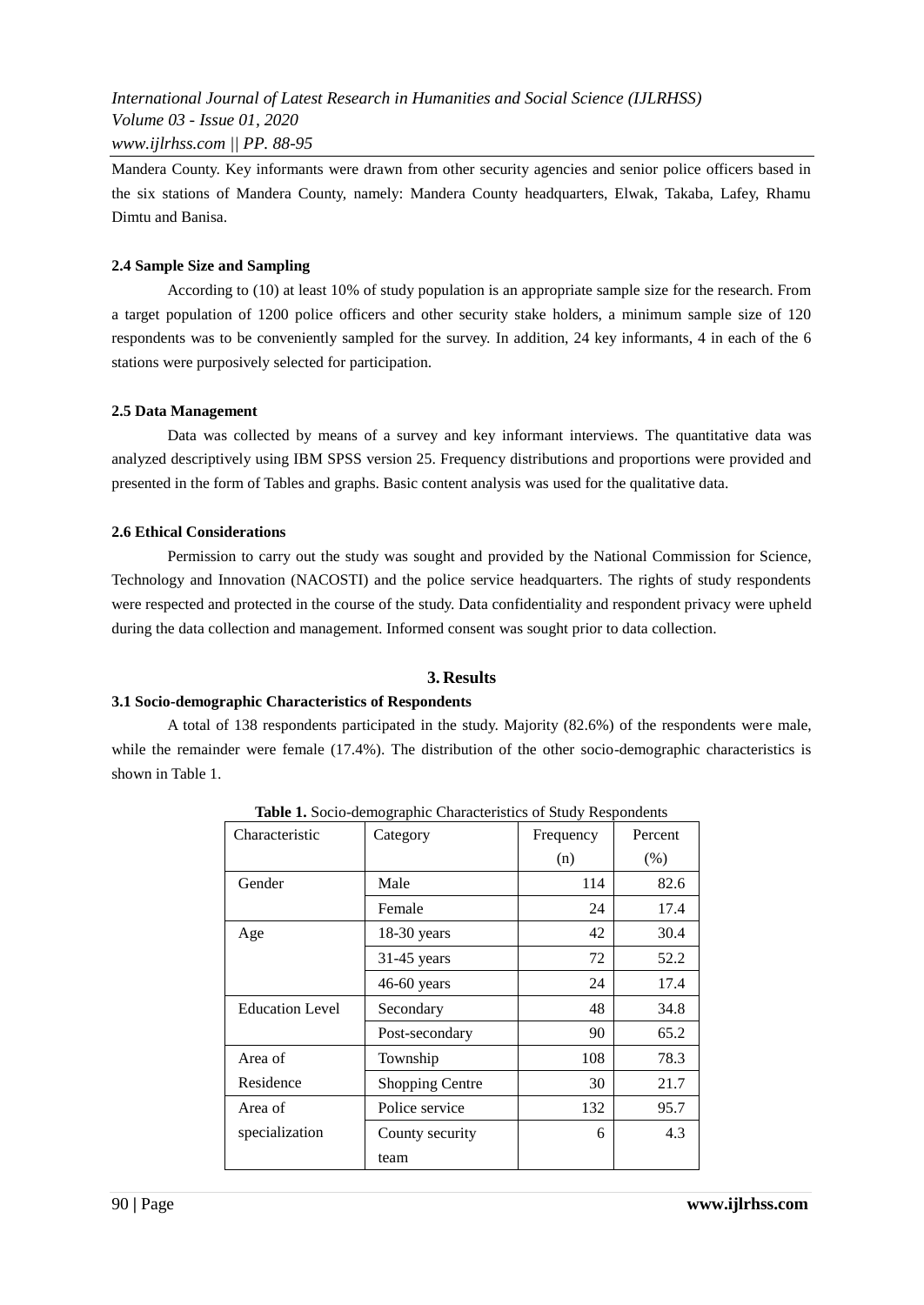Mandera County. Key informants were drawn from other security agencies and senior police officers based in the six stations of Mandera County, namely: Mandera County headquarters, Elwak, Takaba, Lafey, Rhamu Dimtu and Banisa.

## **2.4 Sample Size and Sampling**

According to (10) at least 10% of study population is an appropriate sample size for the research. From a target population of 1200 police officers and other security stake holders, a minimum sample size of 120 respondents was to be conveniently sampled for the survey. In addition, 24 key informants, 4 in each of the 6 stations were purposively selected for participation.

### **2.5 Data Management**

Data was collected by means of a survey and key informant interviews. The quantitative data was analyzed descriptively using IBM SPSS version 25. Frequency distributions and proportions were provided and presented in the form of Tables and graphs. Basic content analysis was used for the qualitative data.

## **2.6 Ethical Considerations**

Permission to carry out the study was sought and provided by the National Commission for Science, Technology and Innovation (NACOSTI) and the police service headquarters. The rights of study respondents were respected and protected in the course of the study. Data confidentiality and respondent privacy were upheld during the data collection and management. Informed consent was sought prior to data collection.

## **3. Results**

## **3.1 Socio-demographic Characteristics of Respondents**

A total of 138 respondents participated in the study. Majority (82.6%) of the respondents were male, while the remainder were female (17.4%). The distribution of the other socio-demographic characteristics is shown in Table 1.

| <b>rapid 1.</b> Bocto demographic characteristics of biddy respondents |                        |           |         |  |  |
|------------------------------------------------------------------------|------------------------|-----------|---------|--|--|
| Characteristic                                                         | Category               | Frequency | Percent |  |  |
|                                                                        |                        | (n)       | (% )    |  |  |
| Gender                                                                 | Male                   | 114       | 82.6    |  |  |
|                                                                        | Female                 | 24        | 17.4    |  |  |
| Age                                                                    | 18-30 years            | 42        | 30.4    |  |  |
|                                                                        | $31-45$ years          | 72        | 52.2    |  |  |
|                                                                        | 46-60 years            | 24        | 17.4    |  |  |
| <b>Education Level</b>                                                 | Secondary              | 48        | 34.8    |  |  |
|                                                                        | Post-secondary         | 90        | 65.2    |  |  |
| Area of                                                                | Township               | 108       | 78.3    |  |  |
| Residence                                                              | <b>Shopping Centre</b> | 30        | 21.7    |  |  |
| Area of                                                                | Police service         | 132       | 95.7    |  |  |
| specialization                                                         | County security        | 6         | 4.3     |  |  |
|                                                                        | team                   |           |         |  |  |

**Table 1.** Socio-demographic Characteristics of Study Respondents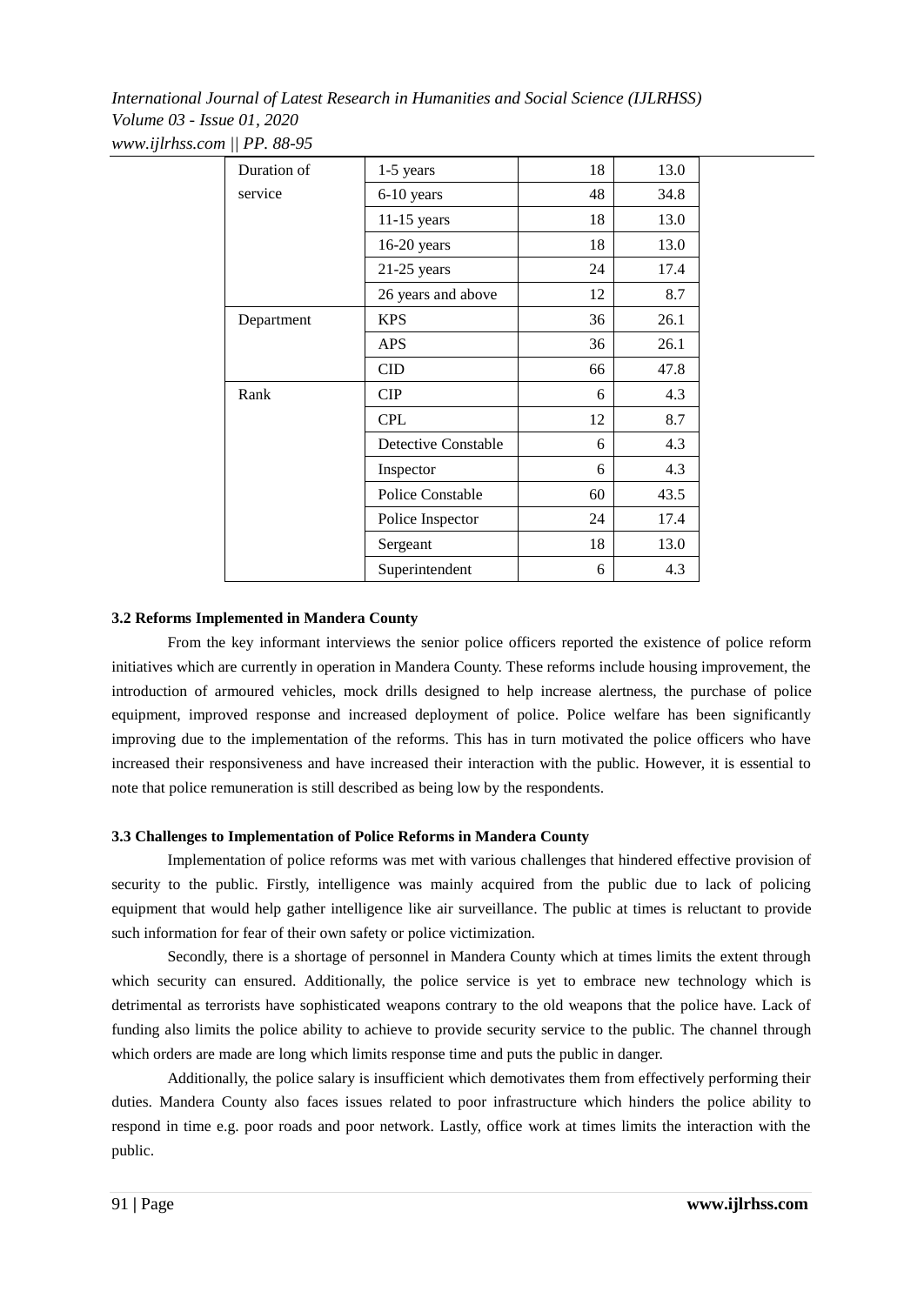| Duration of | $1-5$ years         | 18 | 13.0 |
|-------------|---------------------|----|------|
| service     | 6-10 years          | 48 | 34.8 |
|             | $11-15$ years       | 18 | 13.0 |
|             | 16-20 years         | 18 | 13.0 |
|             | $21-25$ years       | 24 | 17.4 |
|             | 26 years and above  | 12 | 8.7  |
| Department  | <b>KPS</b>          | 36 | 26.1 |
|             | <b>APS</b>          | 36 | 26.1 |
|             | <b>CID</b>          | 66 | 47.8 |
| Rank        | CIP                 | 6  | 4.3  |
|             | <b>CPL</b>          | 12 | 8.7  |
|             | Detective Constable | 6  | 4.3  |
|             | Inspector           | 6  | 4.3  |
|             | Police Constable    | 60 | 43.5 |
|             | Police Inspector    | 24 | 17.4 |
|             | Sergeant            | 18 | 13.0 |
|             | Superintendent      | 6  | 4.3  |

## **3.2 Reforms Implemented in Mandera County**

From the key informant interviews the senior police officers reported the existence of police reform initiatives which are currently in operation in Mandera County. These reforms include housing improvement, the introduction of armoured vehicles, mock drills designed to help increase alertness, the purchase of police equipment, improved response and increased deployment of police. Police welfare has been significantly improving due to the implementation of the reforms. This has in turn motivated the police officers who have increased their responsiveness and have increased their interaction with the public. However, it is essential to note that police remuneration is still described as being low by the respondents.

### **3.3 Challenges to Implementation of Police Reforms in Mandera County**

Implementation of police reforms was met with various challenges that hindered effective provision of security to the public. Firstly, intelligence was mainly acquired from the public due to lack of policing equipment that would help gather intelligence like air surveillance. The public at times is reluctant to provide such information for fear of their own safety or police victimization.

Secondly, there is a shortage of personnel in Mandera County which at times limits the extent through which security can ensured. Additionally, the police service is yet to embrace new technology which is detrimental as terrorists have sophisticated weapons contrary to the old weapons that the police have. Lack of funding also limits the police ability to achieve to provide security service to the public. The channel through which orders are made are long which limits response time and puts the public in danger.

Additionally, the police salary is insufficient which demotivates them from effectively performing their duties. Mandera County also faces issues related to poor infrastructure which hinders the police ability to respond in time e.g. poor roads and poor network. Lastly, office work at times limits the interaction with the public.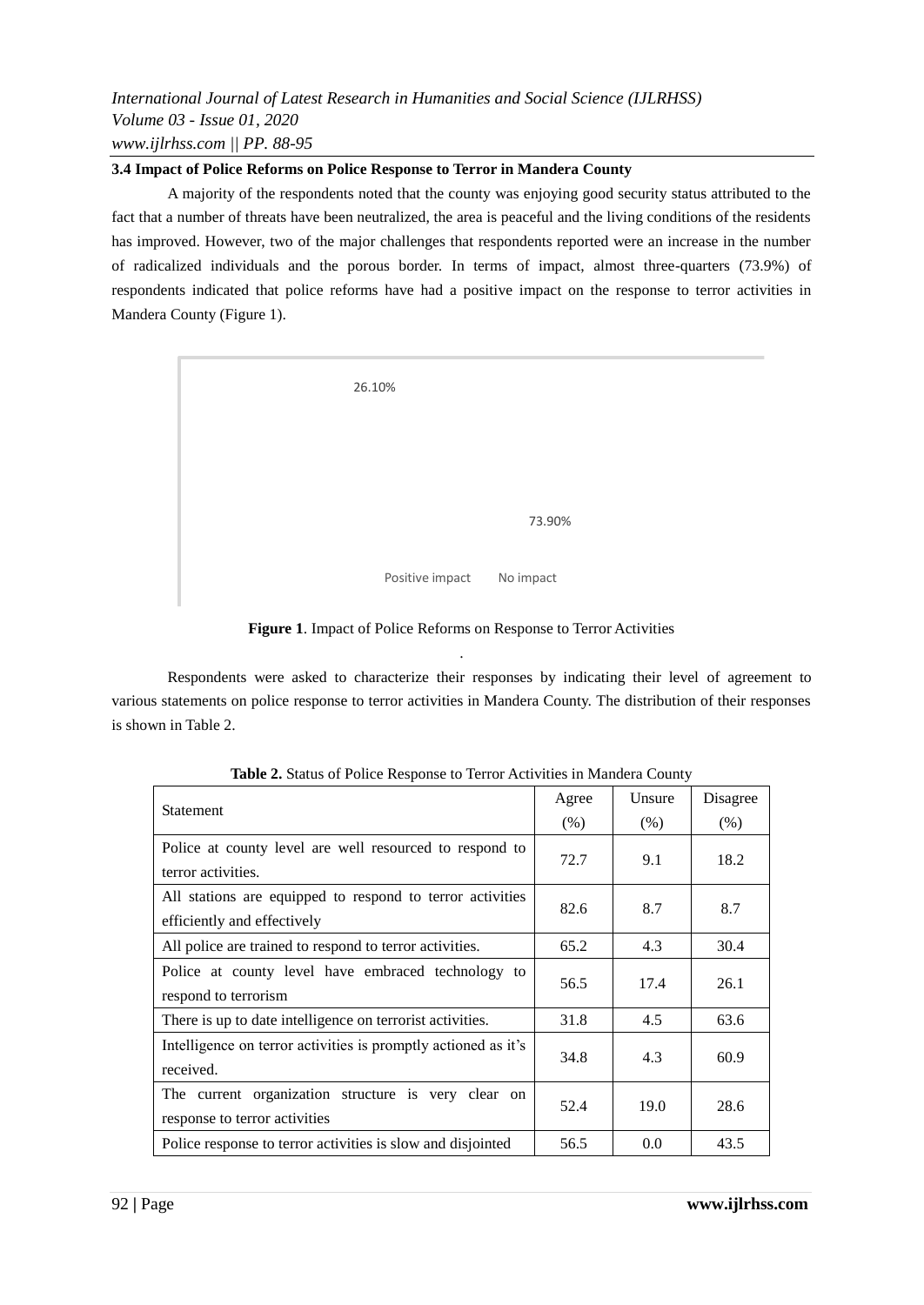## **3.4 Impact of Police Reforms on Police Response to Terror in Mandera County**

A majority of the respondents noted that the county was enjoying good security status attributed to the fact that a number of threats have been neutralized, the area is peaceful and the living conditions of the residents has improved. However, two of the major challenges that respondents reported were an increase in the number of radicalized individuals and the porous border. In terms of impact, almost three-quarters (73.9%) of respondents indicated that police reforms have had a positive impact on the response to terror activities in Mandera County (Figure 1).

| 26.10%                       |  |
|------------------------------|--|
|                              |  |
| 73.90%                       |  |
| Positive impact<br>No impact |  |

**Figure 1**. Impact of Police Reforms on Response to Terror Activities .

Respondents were asked to characterize their responses by indicating their level of agreement to various statements on police response to terror activities in Mandera County. The distribution of their responses is shown in Table 2.

| <b>Statement</b>                                               | Agree | Unsure | Disagree |
|----------------------------------------------------------------|-------|--------|----------|
|                                                                | (% )  | (% )   | $(\%)$   |
| Police at county level are well resourced to respond to        | 72.7  | 9.1    | 18.2     |
| terror activities.                                             |       |        |          |
| All stations are equipped to respond to terror activities      | 82.6  | 8.7    | 8.7      |
| efficiently and effectively                                    |       |        |          |
| All police are trained to respond to terror activities.        | 65.2  | 4.3    | 30.4     |
| Police at county level have embraced technology to             | 56.5  | 17.4   | 26.1     |
| respond to terrorism                                           |       |        |          |
| There is up to date intelligence on terrorist activities.      | 31.8  | 4.5    | 63.6     |
| Intelligence on terror activities is promptly actioned as it's | 34.8  |        | 60.9     |
| received.                                                      |       | 4.3    |          |
| The current organization structure is very clear on            | 52.4  | 19.0   | 28.6     |
| response to terror activities                                  |       |        |          |
| Police response to terror activities is slow and disjointed    | 56.5  | 0.0    | 43.5     |

**Table 2.** Status of Police Response to Terror Activities in Mandera County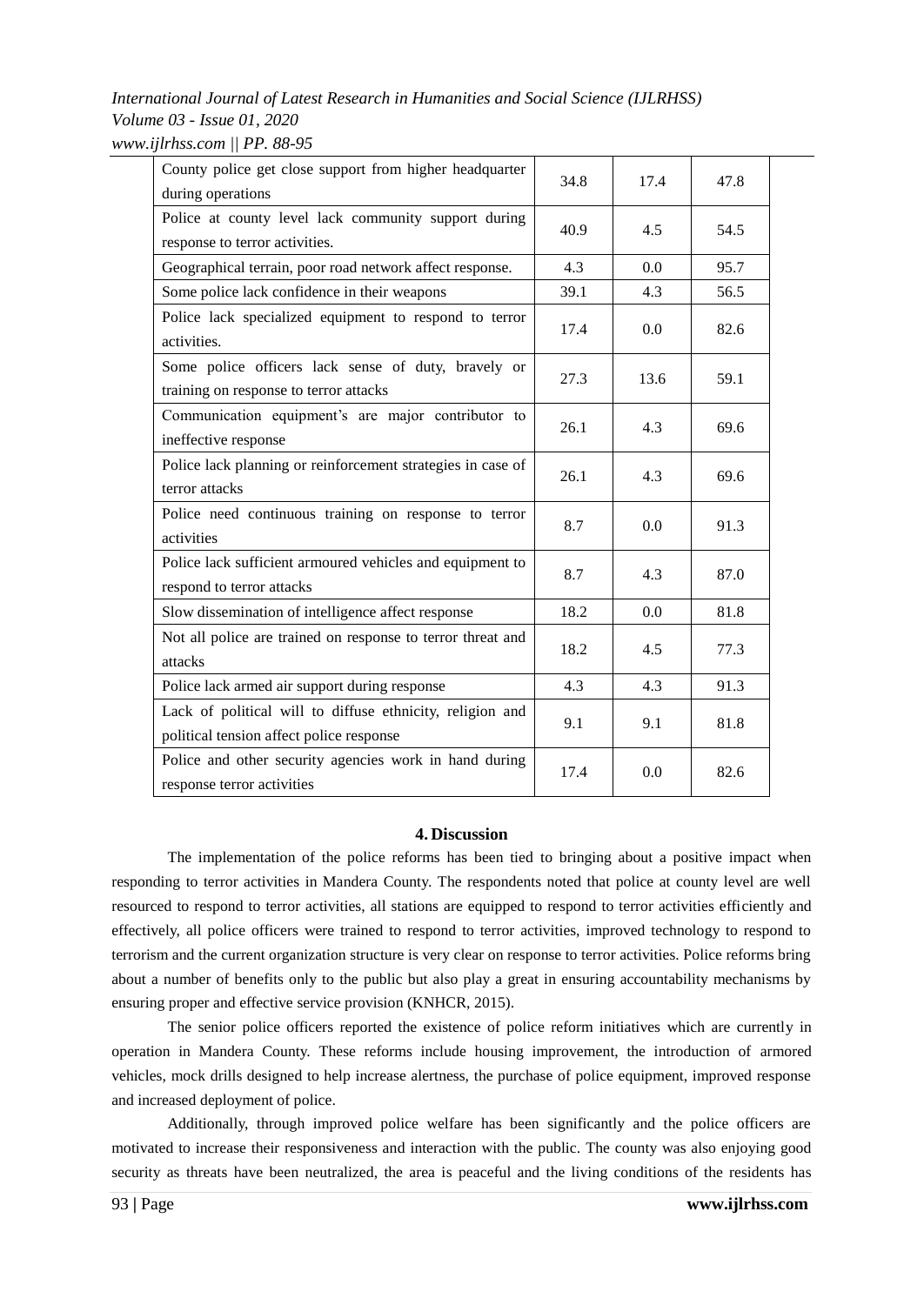| County police get close support from higher headquarter                                               | 34.8 | 17.4 | 47.8 |
|-------------------------------------------------------------------------------------------------------|------|------|------|
| during operations<br>Police at county level lack community support during                             | 40.9 | 4.5  | 54.5 |
| response to terror activities.                                                                        |      |      |      |
| Geographical terrain, poor road network affect response.                                              | 4.3  | 0.0  | 95.7 |
| Some police lack confidence in their weapons                                                          | 39.1 | 4.3  | 56.5 |
| Police lack specialized equipment to respond to terror<br>activities.                                 | 17.4 | 0.0  | 82.6 |
| Some police officers lack sense of duty, bravely or<br>training on response to terror attacks         | 27.3 | 13.6 | 59.1 |
| Communication equipment's are major contributor to<br>ineffective response                            | 26.1 | 4.3  | 69.6 |
| Police lack planning or reinforcement strategies in case of<br>terror attacks                         | 26.1 | 4.3  | 69.6 |
| Police need continuous training on response to terror<br>activities                                   | 8.7  | 0.0  | 91.3 |
| Police lack sufficient armoured vehicles and equipment to<br>respond to terror attacks                | 8.7  | 4.3  | 87.0 |
| Slow dissemination of intelligence affect response                                                    | 18.2 | 0.0  | 81.8 |
| Not all police are trained on response to terror threat and<br>attacks                                | 18.2 | 4.5  | 77.3 |
| Police lack armed air support during response                                                         | 4.3  | 4.3  | 91.3 |
| Lack of political will to diffuse ethnicity, religion and<br>political tension affect police response | 9.1  | 9.1  | 81.8 |
| Police and other security agencies work in hand during<br>response terror activities                  | 17.4 | 0.0  | 82.6 |

## **4. Discussion**

The implementation of the police reforms has been tied to bringing about a positive impact when responding to terror activities in Mandera County. The respondents noted that police at county level are well resourced to respond to terror activities, all stations are equipped to respond to terror activities efficiently and effectively, all police officers were trained to respond to terror activities, improved technology to respond to terrorism and the current organization structure is very clear on response to terror activities. Police reforms bring about a number of benefits only to the public but also play a great in ensuring accountability mechanisms by ensuring proper and effective service provision (KNHCR, 2015).

The senior police officers reported the existence of police reform initiatives which are currently in operation in Mandera County. These reforms include housing improvement, the introduction of armored vehicles, mock drills designed to help increase alertness, the purchase of police equipment, improved response and increased deployment of police.

Additionally, through improved police welfare has been significantly and the police officers are motivated to increase their responsiveness and interaction with the public. The county was also enjoying good security as threats have been neutralized, the area is peaceful and the living conditions of the residents has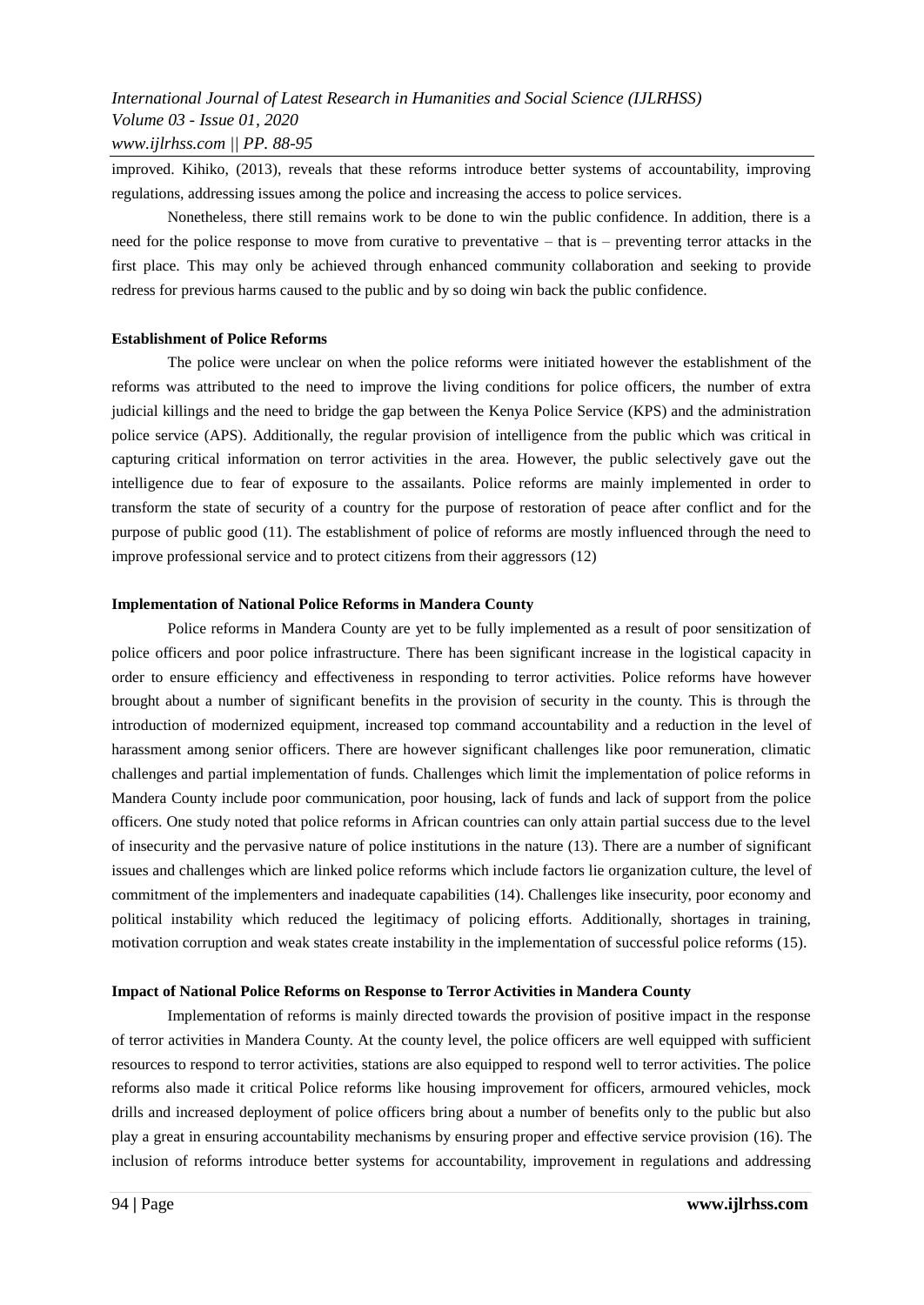improved. Kihiko, (2013), reveals that these reforms introduce better systems of accountability, improving regulations, addressing issues among the police and increasing the access to police services.

Nonetheless, there still remains work to be done to win the public confidence. In addition, there is a need for the police response to move from curative to preventative – that is – preventing terror attacks in the first place. This may only be achieved through enhanced community collaboration and seeking to provide redress for previous harms caused to the public and by so doing win back the public confidence.

### **Establishment of Police Reforms**

The police were unclear on when the police reforms were initiated however the establishment of the reforms was attributed to the need to improve the living conditions for police officers, the number of extra judicial killings and the need to bridge the gap between the Kenya Police Service (KPS) and the administration police service (APS). Additionally, the regular provision of intelligence from the public which was critical in capturing critical information on terror activities in the area. However, the public selectively gave out the intelligence due to fear of exposure to the assailants. Police reforms are mainly implemented in order to transform the state of security of a country for the purpose of restoration of peace after conflict and for the purpose of public good (11). The establishment of police of reforms are mostly influenced through the need to improve professional service and to protect citizens from their aggressors (12)

### **Implementation of National Police Reforms in Mandera County**

Police reforms in Mandera County are yet to be fully implemented as a result of poor sensitization of police officers and poor police infrastructure. There has been significant increase in the logistical capacity in order to ensure efficiency and effectiveness in responding to terror activities. Police reforms have however brought about a number of significant benefits in the provision of security in the county. This is through the introduction of modernized equipment, increased top command accountability and a reduction in the level of harassment among senior officers. There are however significant challenges like poor remuneration, climatic challenges and partial implementation of funds. Challenges which limit the implementation of police reforms in Mandera County include poor communication, poor housing, lack of funds and lack of support from the police officers. One study noted that police reforms in African countries can only attain partial success due to the level of insecurity and the pervasive nature of police institutions in the nature (13). There are a number of significant issues and challenges which are linked police reforms which include factors lie organization culture, the level of commitment of the implementers and inadequate capabilities (14). Challenges like insecurity, poor economy and political instability which reduced the legitimacy of policing efforts. Additionally, shortages in training, motivation corruption and weak states create instability in the implementation of successful police reforms (15).

#### **Impact of National Police Reforms on Response to Terror Activities in Mandera County**

Implementation of reforms is mainly directed towards the provision of positive impact in the response of terror activities in Mandera County. At the county level, the police officers are well equipped with sufficient resources to respond to terror activities, stations are also equipped to respond well to terror activities. The police reforms also made it critical Police reforms like housing improvement for officers, armoured vehicles, mock drills and increased deployment of police officers bring about a number of benefits only to the public but also play a great in ensuring accountability mechanisms by ensuring proper and effective service provision (16). The inclusion of reforms introduce better systems for accountability, improvement in regulations and addressing